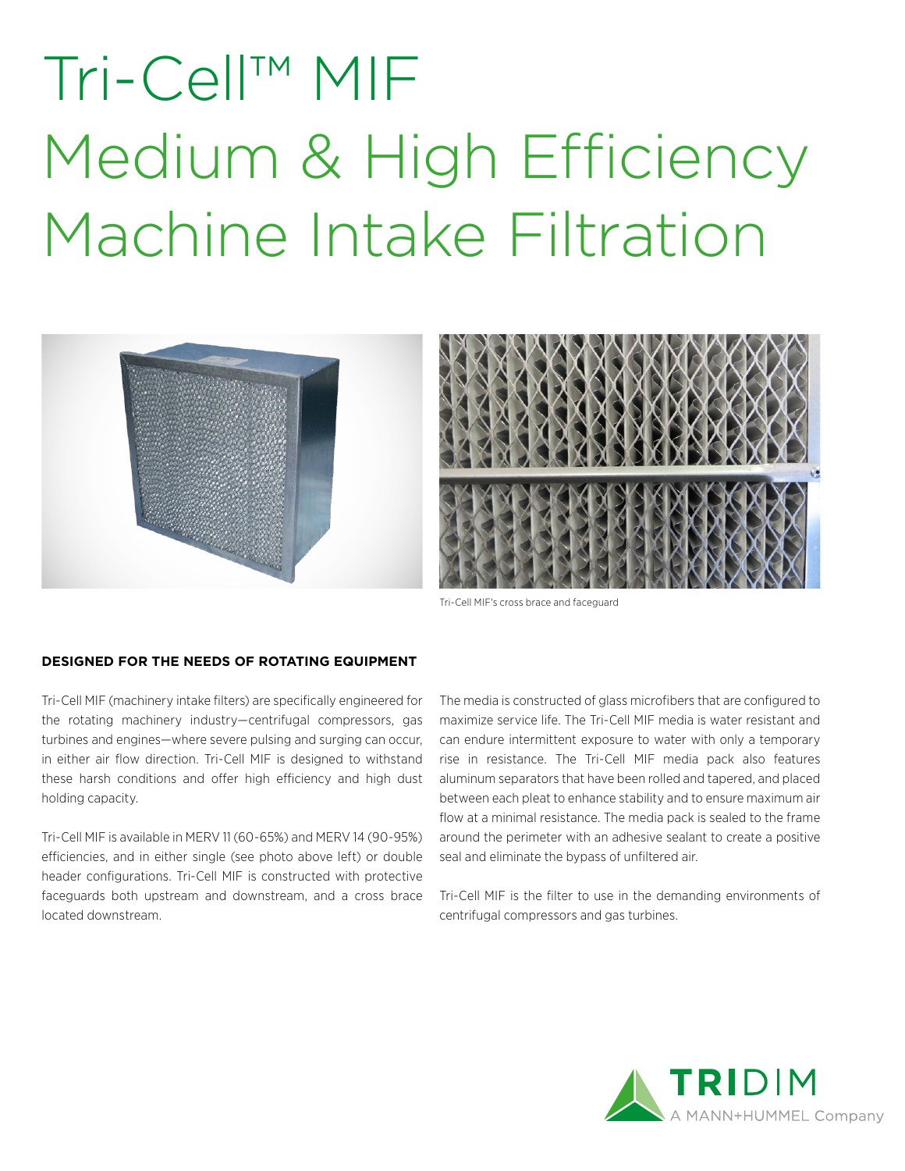## Tri-Cell™ MIF Medium & High Efficiency Machine Intake Filtration





Tri-Cell MIF's cross brace and faceguard

## **DESIGNED FOR THE NEEDS OF ROTATING EQUIPMENT**

Tri-Cell MIF (machinery intake filters) are specifically engineered for the rotating machinery industry—centrifugal compressors, gas turbines and engines—where severe pulsing and surging can occur, in either air flow direction. Tri-Cell MIF is designed to withstand these harsh conditions and offer high efficiency and high dust holding capacity.

Tri-Cell MIF is available in MERV 11 (60-65%) and MERV 14 (90-95%) efficiencies, and in either single (see photo above left) or double header configurations. Tri-Cell MIF is constructed with protective faceguards both upstream and downstream, and a cross brace located downstream.

The media is constructed of glass microfibers that are configured to maximize service life. The Tri-Cell MIF media is water resistant and can endure intermittent exposure to water with only a temporary rise in resistance. The Tri-Cell MIF media pack also features aluminum separators that have been rolled and tapered, and placed between each pleat to enhance stability and to ensure maximum air flow at a minimal resistance. The media pack is sealed to the frame around the perimeter with an adhesive sealant to create a positive seal and eliminate the bypass of unfiltered air.

Tri-Cell MIF is the filter to use in the demanding environments of centrifugal compressors and gas turbines.